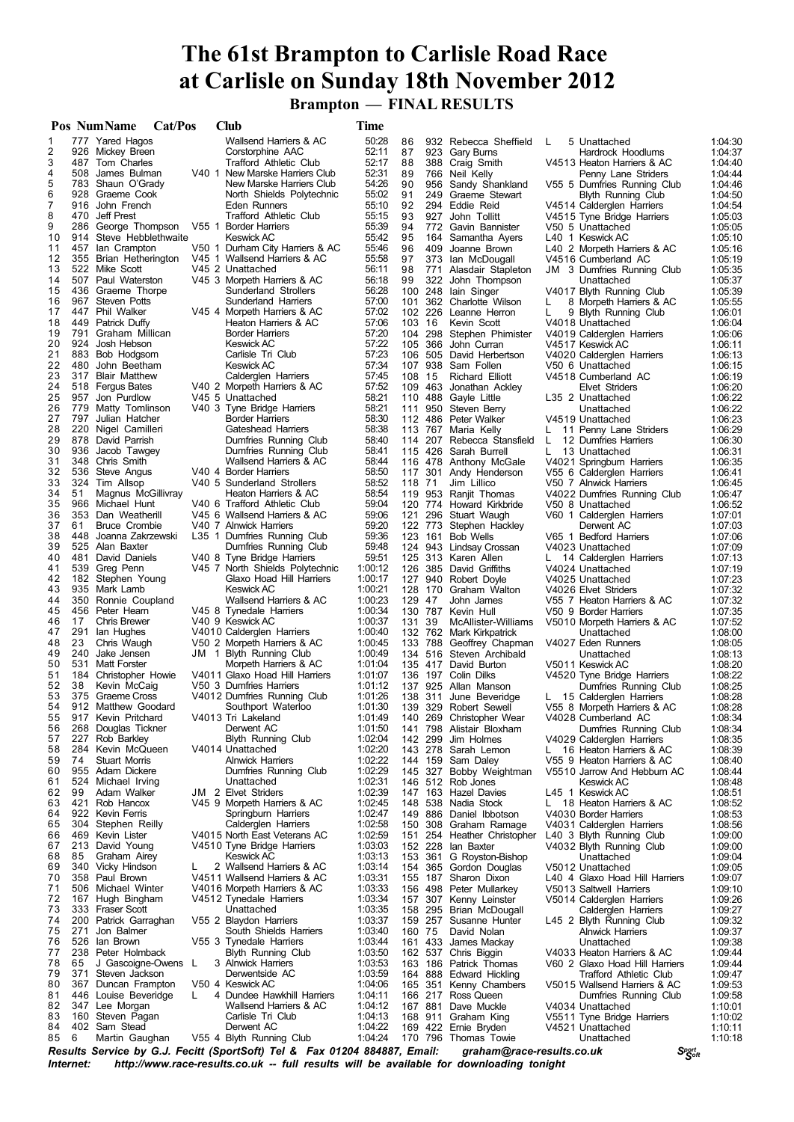# **The 61st Brampton to Carlisle Road Race at Carlisle on Sunday 18th November 2012**

 **Brampton — FINAL RESULTS**

|                             |     | Pos NumName                               | Cat/Pos | <b>Club</b>                                                                                            | Time               |            |         |                                             |                |                                                          |                    |
|-----------------------------|-----|-------------------------------------------|---------|--------------------------------------------------------------------------------------------------------|--------------------|------------|---------|---------------------------------------------|----------------|----------------------------------------------------------|--------------------|
| 1                           |     | 777 Yared Hagos                           |         | Wallsend Harriers & AC                                                                                 | 50:28              | 86         |         | 932 Rebecca Sheffield                       | L              | 5 Unattached                                             | 1:04:30            |
| $\overline{\mathbf{c}}$     |     | 926 Mickey Breen                          |         | Corstorphine AAC                                                                                       | 52:11              | 87         | 923     | Gary Burns                                  |                | Hardrock Hoodlums                                        | 1:04:37            |
| 3                           |     | 487 Tom Charles                           |         | <b>Trafford Athletic Club</b>                                                                          | 52:17              | 88         |         | 388 Craig Smith                             |                | V4513 Heaton Harriers & AC                               | 1:04:40            |
| 4                           |     | 508 James Bulman                          |         | V40 1 New Marske Harriers Club                                                                         | 52:31              | 89         |         | 766 Neil Kelly                              |                | Penny Lane Striders                                      | 1:04:44            |
| 5<br>6                      |     | 783 Shaun O'Grady<br>928 Graeme Cook      |         | New Marske Harriers Club<br>North Shields Polytechnic                                                  | 54:26<br>55:02     | 90<br>91   | 956     | Sandy Shankland<br>249 Graeme Stewart       |                | V55 5 Dumfries Running Club<br><b>Blyth Running Club</b> | 1:04:46<br>1:04:50 |
| 7                           |     | 916 John French                           |         | Eden Runners                                                                                           | 55:10              | 92         |         | 294 Eddie Reid                              |                | V4514 Calderglen Harriers                                | 1:04:54            |
| 8                           |     | 470 Jeff Prest                            |         | Trafford Athletic Club                                                                                 | 55:15              | 93         | 927     | John Tollitt                                |                | V4515 Tyne Bridge Harriers                               | 1:05:03            |
| 9                           |     | 286 George Thompson                       |         | V55 1 Border Harriers                                                                                  | 55:39              | 94         |         | 772 Gavin Bannister                         |                | V50 5 Unattached                                         | 1:05:05            |
| 10                          | 914 | Steve Hebblethwaite                       |         | Keswick AC                                                                                             | 55:42              | 95         |         | 164 Samantha Ayers                          |                | L40 1 Keswick AC                                         | 1:05:10            |
| 11                          | 457 | lan Crampton                              |         | V50 1 Durham City Harriers & AC                                                                        | 55:46              | 96         | 409     | Joanne Brown                                |                | L40 2 Morpeth Harriers & AC                              | 1:05:16            |
| 12                          |     | 355 Brian Hetherington                    |         | V45 1 Wallsend Harriers & AC                                                                           | 55:58              | 97         |         | 373 Ian McDougall                           |                | V4516 Cumberland AC                                      | 1:05:19            |
| 13                          |     | 522 Mike Scott                            |         | V45 2 Unattached                                                                                       | 56:11              | 98         |         | 771 Alasdair Stapleton                      |                | JM 3 Dumfries Running Club                               | 1:05:35            |
| 14                          | 507 | Paul Waterston                            |         | V45 3 Morpeth Harriers & AC                                                                            | 56:18              | 99         | 322     | John Thompson                               |                | Unattached                                               | 1:05:37            |
| 15                          |     | 436 Graeme Thorpe                         |         | Sunderland Strollers                                                                                   | 56:28              | 100        | 248     | lain Singer                                 |                | V4017 Blyth Running Club                                 | 1:05:39            |
| 16<br>17                    |     | 967 Steven Potts<br>447 Phil Walker       |         | Sunderland Harriers<br>V45 4 Morpeth Harriers & AC                                                     | 57:00              | 101        | 226     | 362 Charlotte Wilson                        | L              | 8 Morpeth Harriers & AC                                  | 1:05:55            |
| 18                          |     | 449 Patrick Duffy                         |         | Heaton Harriers & AC                                                                                   | 57:02<br>57:06     | 102<br>103 | 16      | Leanne Herron<br>Kevin Scott                | L              | 9 Blyth Running Club<br>V4018 Unattached                 | 1:06:01<br>1:06:04 |
| 19                          |     | 791 Graham Millican                       |         | <b>Border Harriers</b>                                                                                 | 57:20              | 104        |         | 298 Stephen Phimister                       |                | V4019 Calderglen Harriers                                | 1:06:06            |
| 20                          | 924 | Josh Hebson                               |         | <b>Keswick AC</b>                                                                                      | 57:22              | 105        | 366     | John Curran                                 |                | V4517 Keswick AC                                         | 1:06:11            |
| 21                          |     | 883 Bob Hodgsom                           |         | Carlisle Tri Club                                                                                      | 57:23              | 106        |         | 505 David Herbertson                        |                | V4020 Calderglen Harriers                                | 1:06:13            |
| 22                          | 480 | John Beetham                              |         | <b>Keswick AC</b>                                                                                      | 57:34              |            |         | 107 938 Sam Follen                          |                | V50 6 Unattached                                         | 1:06:15            |
| 23                          |     | 317 Blair Matthew                         |         | Calderglen Harriers                                                                                    | 57:45              | 108        | 15      | <b>Richard Elliott</b>                      |                | V4518 Cumberland AC                                      | 1:06:19            |
| 24                          |     | 518 Fergus Bates                          |         | V40 2 Morpeth Harriers & AC                                                                            | 57:52              | 109        |         | 463 Jonathan Ackley                         |                | Elvet Striders                                           | 1:06:20            |
| 25                          |     | 957 Jon Purdlow                           |         | V45 5 Unattached                                                                                       | 58:21              |            |         | 110 488 Gayle Little                        |                | L35 2 Unattached                                         | 1:06:22            |
| 26                          |     | 779 Matty Tomlinson                       |         | V40 3 Tyne Bridge Harriers                                                                             | 58:21              | 111        | 950     | Steven Berry                                |                | Unattached                                               | 1:06:22            |
| 27                          |     | 797 Julian Hatcher                        |         | <b>Border Harriers</b>                                                                                 | 58:30              |            |         | 112 486 Peter Walker                        |                | V4519 Unattached                                         | 1:06:23            |
| 28<br>29                    |     | 220 Nigel Camilleri<br>878 David Parrish  |         | Gateshead Harriers<br>Dumfries Running Club                                                            | 58:38<br>58:40     |            | 114 207 | 113 767 Maria Kelly<br>Rebecca Stansfield   | L.<br>L.       | 11 Penny Lane Striders<br>12 Dumfries Harriers           | 1:06:29<br>1:06:30 |
| 30                          |     | 936 Jacob Tawgey                          |         | Dumfries Running Club                                                                                  | 58:41              |            |         | 115 426 Sarah Burrell                       | L.             | 13 Unattached                                            | 1:06:31            |
| 31                          |     | 348 Chris Smith                           |         | Wallsend Harriers & AC                                                                                 | 58:44              |            |         | 116 478 Anthony McGale                      |                | V4021 Springburn Harriers                                | 1:06:35            |
| 32                          |     | 536 Steve Angus                           |         | V40 4 Border Harriers                                                                                  | 58:50              | 117        | 301     | Andy Henderson                              |                | V55 6 Calderglen Harriers                                | 1:06:41            |
| 33                          |     | 324 Tim Allsop                            |         | V40 5 Sunderland Strollers                                                                             | 58:52              | 118 71     |         | Jim Lillico                                 |                | V50 7 Alnwick Harriers                                   | 1:06:45            |
| 34                          | 51  | Magnus McGillivray                        |         | Heaton Harriers & AC                                                                                   | 58:54              |            |         | 119 953 Ranjit Thomas                       |                | V4022 Dumfries Running Club                              | 1:06:47            |
| 35                          |     | 966 Michael Hunt                          |         | V40 6 Trafford Athletic Club                                                                           | 59:04              |            |         | 120 774 Howard Kirkbride                    |                | V50 8 Unattached                                         | 1:06:52            |
| 36                          |     | 353 Dan Weatherill                        |         | V45 6 Wallsend Harriers & AC                                                                           | 59:06              |            |         | 121 296 Stuart Waugh                        |                | V60 1 Calderglen Harriers                                | 1:07:01            |
| 37                          | 61  | <b>Bruce Crombie</b>                      |         | V40 7 Alnwick Harriers                                                                                 | 59:20              |            |         | 122 773 Stephen Hackley                     |                | Derwent AC                                               | 1:07:03            |
| 38                          | 448 | Joanna Zakrzewski                         |         | L35 1 Dumfries Running Club                                                                            | 59:36              | 123        | 161     | <b>Bob Wells</b>                            |                | V65 1 Bedford Harriers                                   | 1:07:06            |
| 39                          | 481 | 525 Alan Baxter                           |         | Dumfries Running Club                                                                                  | 59:48              |            |         | 124 943 Lindsay Crossan                     |                | V4023 Unattached                                         | 1:07:09            |
| 40<br>41                    |     | David Daniels<br>539 Greg Penn            |         | V40 8 Tyne Bridge Harriers<br>V45 7 North Shields Polytechnic                                          | 59:51<br>1:00:12   | 126        |         | 125 313 Karen Allen<br>385 David Griffiths  | L.             | 14 Calderglen Harriers<br>V4024 Unattached               | 1:07:13<br>1:07:19 |
| 42                          |     | 182 Stephen Young                         |         | Glaxo Hoad Hill Harriers                                                                               | 1:00:17            |            |         | 127 940 Robert Doyle                        |                | V4025 Unattached                                         | 1:07:23            |
| 43                          |     | 935 Mark Lamb                             |         | <b>Keswick AC</b>                                                                                      | 1:00:21            | 128        |         | 170 Graham Walton                           |                | V4026 Elvet Striders                                     | 1:07:32            |
| 44                          |     | 350 Ronnie Coupland                       |         | Wallsend Harriers & AC                                                                                 | 1:00:23            | 129        | 47      | John James                                  |                | V55 7 Heaton Harriers & AC                               | 1:07:32            |
| 45                          |     | 456 Peter Hearn                           |         | V45 8 Tynedale Harriers                                                                                | 1:00:34            |            |         | 130 787 Kevin Hull                          |                | V50 9 Border Harriers                                    | 1:07:35            |
| 46                          | 17  | <b>Chris Brewer</b>                       |         | V40 9 Keswick AC                                                                                       | 1:00:37            | 131 39     |         | McAllister-Williams                         |                | V5010 Morpeth Harriers & AC                              | 1:07:52            |
| 47                          | 291 | lan Hughes                                |         | V4010 Calderglen Harriers                                                                              | 1:00:40            |            | 132 762 | Mark Kirkpatrick                            |                | Unattached                                               | 1:08:00            |
| 48                          | 23  | Chris Waugh                               |         | V50 2 Morpeth Harriers & AC                                                                            | 1:00:45            |            |         | 133 788 Geoffrey Chapman                    |                | V4027 Eden Runners                                       | 1:08:05            |
| 49                          | 240 | Jake Jensen                               |         | JM 1 Blyth Running Club                                                                                | 1:00:49            |            |         | 134 516 Steven Archibald                    |                | Unattached                                               | 1:08:13            |
| 50                          | 531 | <b>Matt Forster</b>                       |         | Morpeth Harriers & AC<br>V4011 Glaxo Hoad Hill Harriers                                                | 1:01:04            |            | 135 417 | David Burton                                |                | V5011 Keswick AC                                         | 1:08:20            |
| 51<br>52                    | 38  | 184 Christopher Howie<br>Kevin McCaig     |         | V50 3 Dumfries Harriers                                                                                | 1:01:07<br>1:01:12 |            |         | 136 197 Colin Dilks<br>137 925 Allan Manson |                | V4520 Tyne Bridge Harriers<br>Dumfries Running Club      | 1:08:22<br>1:08:25 |
| 53                          |     | 375 Graeme Cross                          |         | V4012 Dumfries Running Club                                                                            | 1:01:26            | 138        | 311     | June Beveridge                              |                | L 15 Calderglen Harriers                                 | 1:08:28            |
| 54                          |     | 912 Matthew Goodard                       |         | Southport Waterloo                                                                                     | 1:01:30            |            |         | 139 329 Robert Sewell                       |                | V55 8 Morpeth Harriers & AC                              | 1:08:28            |
| 55                          |     | 917 Kevin Pritchard                       |         | V4013 Tri Lakeland                                                                                     | 1:01:49            |            |         | 140 269 Christopher Wear                    |                | V4028 Cumberland AC                                      | 1:08:34            |
| 56                          |     | 268 Douglas Tickner                       |         | Derwent AC                                                                                             | 1:01:50            |            |         | 141 798 Alistair Bloxham                    |                | Dumfries Running Club                                    | 1:08:34            |
| 57                          |     | 227 Rob Barkley                           |         | Blyth Running Club                                                                                     | 1:02:04            |            | 142 299 | Jim Holmes                                  |                | V4029 Calderglen Harriers                                | 1:08:35            |
| 58                          |     | 284 Kevin McQueen                         |         | V4014 Unattached                                                                                       | 1:02:20            |            |         | 143 278 Sarah Lemon                         |                | L 16 Heaton Harriers & AC                                | 1:08:39            |
| 59                          | 74  | <b>Stuart Morris</b>                      |         | <b>Alnwick Harriers</b>                                                                                | 1:02:22            |            |         | 144 159 Sam Daley                           |                | V55 9 Heaton Harriers & AC                               | 1:08:40            |
| 60                          |     | 955 Adam Dickere                          |         | Dumfries Running Club                                                                                  | 1:02:29            |            |         | 145 327 Bobby Weightman                     |                | V5510 Jarrow And Hebburn AC                              | 1:08:44            |
| 61<br>62                    | 99  | 524 Michael Irving<br>Adam Walker         |         | Unattached<br>JM 2 Elvet Striders                                                                      | 1:02:31<br>1:02:39 |            |         | 146 512 Rob Jones<br>147 163 Hazel Davies   |                | <b>Keswick AC</b><br>L45 1 Keswick AC                    | 1:08:48<br>1:08:51 |
| 63                          |     | 421 Rob Hancox                            |         | V45 9 Morpeth Harriers & AC                                                                            | 1:02:45            |            |         | 148 538 Nadia Stock                         |                | L 18 Heaton Harriers & AC                                | 1:08:52            |
| 64                          |     | 922 Kevin Ferris                          |         | Springburn Harriers                                                                                    | 1:02:47            |            |         | 149 886 Daniel Ibbotson                     |                | V4030 Border Harriers                                    | 1:08:53            |
| 65                          |     | 304 Stephen Reilly                        |         | Calderglen Harriers                                                                                    | 1:02:58            | 150        |         | 308 Graham Ramage                           |                | V4031 Calderglen Harriers                                | 1:08:56            |
| 66                          |     | 469 Kevin Lister                          |         | V4015 North East Veterans AC                                                                           | 1:02:59            |            |         | 151 254 Heather Christopher                 |                | L40 3 Blyth Running Club                                 | 1:09:00            |
| 67                          |     | 213 David Young                           |         | V4510 Tyne Bridge Harriers                                                                             | 1:03:03            |            |         | 152 228 Ian Baxter                          |                | V4032 Blyth Running Club                                 | 1:09:00            |
| 68                          | 85  | Graham Airey                              |         | <b>Keswick AC</b>                                                                                      | 1:03:13            |            |         | 153 361 G Royston-Bishop                    |                | Unattached                                               | 1:09:04            |
| 69                          |     | 340 Vicky Hindson                         | L.      | 2 Wallsend Harriers & AC                                                                               | 1:03:14            |            |         | 154 365 Gordon Douglas                      |                | V5012 Unattached                                         | 1:09:05            |
| 70                          |     | 358 Paul Brown                            |         | V4511 Wallsend Harriers & AC                                                                           | 1:03:31            |            |         | 155 187 Sharon Dixon                        |                | L40 4 Glaxo Hoad Hill Harriers                           | 1:09:07            |
| 71                          |     | 506 Michael Winter                        |         | V4016 Morpeth Harriers & AC                                                                            | 1:03:33            | 156        |         | 498 Peter Mullarkey                         |                | V5013 Saltwell Harriers                                  | 1:09:10            |
| 72                          |     | 167 Hugh Bingham                          |         | V4512 Tynedale Harriers                                                                                | 1:03:34            |            |         | 157 307 Kenny Leinster                      |                | V5014 Calderglen Harriers                                | 1:09:26            |
| 73<br>74                    |     | 333 Fraser Scott<br>200 Patrick Garraghan |         | Unattached<br>V55 2 Blaydon Harriers                                                                   | 1:03:35<br>1:03:37 |            |         | 158 295 Brian McDougall                     |                | Calderglen Harriers                                      | 1:09:27            |
| 75                          |     | 271 Jon Balmer                            |         | South Shields Harriers                                                                                 | 1:03:40            | 160 75     |         | 159 257 Susanne Hunter<br>David Nolan       |                | L45 2 Blyth Running Club<br><b>Alnwick Harriers</b>      | 1:09:32<br>1:09:37 |
| 76                          |     | 526 Ian Brown                             |         | V55 3 Tynedale Harriers                                                                                | 1:03:44            |            |         | 161 433 James Mackay                        |                | Unattached                                               | 1:09:38            |
| 77                          |     | 238 Peter Holmback                        |         | Blyth Running Club                                                                                     | 1:03:50            |            |         | 162 537 Chris Biggin                        |                | V4033 Heaton Harriers & AC                               | 1:09:44            |
| 78                          | 65  | J Gascoigne-Owens                         | - L     | 3 Alnwick Harriers                                                                                     | 1:03:53            |            |         | 163 186 Patrick Thomas                      |                | V60 2 Glaxo Hoad Hill Harriers                           | 1:09:44            |
| 79                          |     | 371 Steven Jackson                        |         | Derwentside AC                                                                                         | 1:03:59            |            |         | 164 888 Edward Hickling                     |                | Trafford Athletic Club                                   | 1:09:47            |
| 80                          |     | 367 Duncan Frampton                       |         | V50 4 Keswick AC                                                                                       | 1:04:06            |            |         | 165 351 Kenny Chambers                      |                | V5015 Wallsend Harriers & AC                             | 1:09:53            |
| 81                          |     | 446 Louise Beveridge                      | L.      | 4 Dundee Hawkhill Harriers                                                                             | 1:04:11            |            |         | 166 217 Ross Queen                          |                | Dumfries Running Club                                    | 1:09:58            |
| 82                          |     | 347 Lee Morgan                            |         | Wallsend Harriers & AC                                                                                 | 1:04:12            |            |         | 167 881 Dave Muckle                         |                | V4034 Unattached                                         | 1:10:01            |
| 83                          |     | 160 Steven Pagan                          |         | Carlisle Tri Club                                                                                      | 1:04:13            |            |         | 168 911 Graham King                         |                | V5511 Tyne Bridge Harriers                               | 1:10:02            |
| 84                          |     | 402 Sam Stead                             |         | Derwent AC                                                                                             | 1:04:22            |            |         | 169 422 Ernie Bryden                        |                | V4521 Unattached                                         | 1:10:11            |
| 85<br><b>D</b> <sub>2</sub> | 6   | Martin Gaughan                            |         | V55 4 Blyth Running Club<br>Convice by $C \perp$ Footh (CnowCeft) Tel $\theta$ Fey 04204 004007 Email: | 1:04:24            |            |         | 170 796 Thomas Towie<br>$\frac{1}{2}$       | $\overline{a}$ | Unattached<br>Chort                                      | 1:10:18            |

Results Service by G.J. Fecitt (SportSoft) Tel & Fax 01204 884887, Email: graham@race-results.co.uk S<sup>port</sup><br>Internet: http://www.race-results.co.uk -- full results will be available for downloading tonight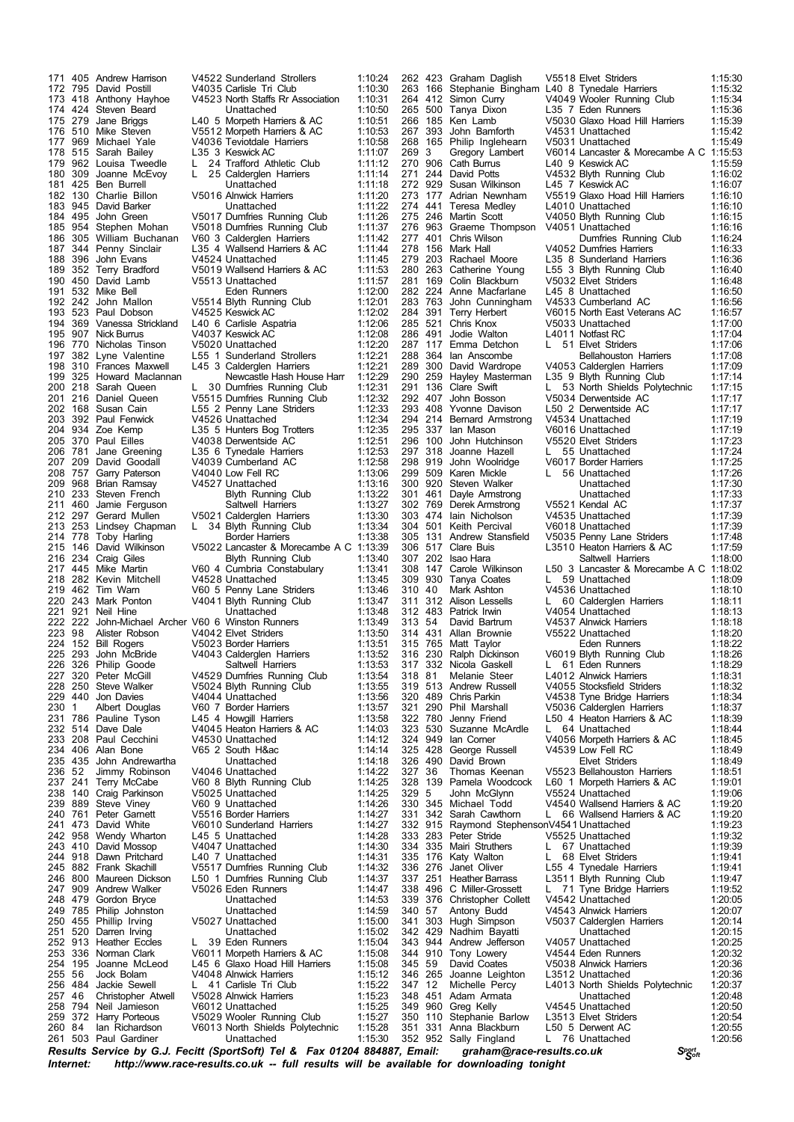503 Paul Gardiner Unattached 1:15:30

 405 Andrew Harrison V4522 Sunderland Strollers 1:10:24 795 David Postill V4035 Carlisle Tri Club 1:10:30 173 418 Anthony Hayhoe V4523 North Staffs Rr Association<br>174 424 Steven Beard Unattached<br>175 279 Jane Briggs L40 5 Morpeth Harriers & AC 424 Steven Beard Unattached 1:10:50 279 Jane Briggs L40 5 Morpeth Harriers & AC 1:10:51 510 Mike Steven V5512 Morpeth Harriers & AC 1:10:53 177 969 Michael Yale 1993 Teviotdale Harriers 1:10:58<br>178 515 Sarah Bailey 1.35 3 Keswick AC 1:11:07 515 Sarah Bailey L35 3 Keswick AC 1:11:07 L 24 Trafford Athletic Club 309 Joanne McEvoy L 25 Calderglen Harriers 1:11:14 181 425 Ben Burrell Unattached 1:11:18<br>182 130 Charlie Billon v 5016 Alnwick Harriers 1:11:20 130 Charlie Billon V5016 Alnwick Harriers 1:11:20 945 David Barker Unattached 1:11:22 495 John Green V5017 Dumfries Running Club 1:11:26 954 Stephen Mohan V5018 Dumfries Running Club 1:11:37 305 William Buchanan V60 3 Calderglen Harriers 1:11:42 344 Penny Sinclair L35 4 Wallsend Harriers & AC 1:11:44 187 344 Penny Sinclair 197 4 Wallsend Harriers & AC 1:11:44<br>188 396 John Evans 1974 Unattached 1:11:45<br>189 352 Terry Bradford 1976 2019 Wallsend Harriers & AC 1:11:53 352 Terry Bradford V5019 Wallsend Harriers & AC 1:11:53 190 450 David Lamb V5513 Unattached 1:11:57<br>191 532 Mike Bell Bell Eden Runners 1:11:57 1:12:00 Eden Runners 1:12:00<br>11:12:01 John Mallon V5514 Blyth Running Club 242 John Mallon V5514 Blyth Running Club 1:12:01 523 Paul Dobson V4525 Keswick AC 1:12:02 369 Vanessa Strickland L40 6 Carlisle Aspatria 1:12:06 907 Nick Burrus V4037 Keswick AC 1:12:08 770 Nicholas Tinson V5020 Unattached 1:12:20 382 Lyne Valentine L55 1 Sunderland Strollers 1:12:21 310 Frances Maxwell L45 3 Calderglen Harriers 1:12:21 325 Howard Maclannan Newcastle Hash House Harr 1:12:29 30 Dumfries Running Club 216 Daniel Queen V5515 Dumfries Running Club 1:12:32 168 Susan Cain L55 2 Penny Lane Striders 1:12:33 392 Paul Fenwick V4526 Unattached 1:12:34 934 Zoe Kemp L35 5 Hunters Bog Trotters 1:12:35 370 Paul Eilles V4038 Derwentside AC 1:12:51 206 781 Jane Greening L35 6 Tynedale Harriers 1:12:53<br>207 209 David Goodall V4039 Cumberland AC 1:12:58<br>208 757 Garry Paterson V4040 Low Fell RC 1:13:06 209 David Goodall V4039 Cumberland AC 1:12:58 757 Garry Paterson V4040 Low Fell RC 1:13:06 209 968 Brian Ramsay V4527 Unattached 1:13:16<br>210 233 Steven French Blyth Running Club 1:13:22 2123 Steven French Blyth Running Club 1:13:22<br>460 Jamie Ferguson Saltwell Harriers 1:13:27 460 Jamie Ferguson Saltwell Harriers 1:13:27 297 Gerard Mullen V5021 Calderglen Harriers 1:13:30 213 253 Lindsey Chapman L 34 Blyth Running Club 1:13:34<br>214 778 Toby Harling Border Harriers 1:13:38<br>215 146 David Wilkinson V5022 Lancaster & Morecambe A C 1:13:39 214 778 Toby Harling **Border Harriers** 1:13:38 146 David Wilkinson V5022 Lancaster & Morecambe A C 1:13:39 216 234 Craig Giles Blyth Running Club 1:13:40<br>217 445 Mike Martin V60 4 Cumbria Constabulary 1:13:41 217 445 Mike Martin V60 4 Cumbria Constabulary 1:13:41<br>218 282 Kevin Mitchell V4528 Unattached 1:13:45 282 Kevin Mitchell V4528 Unattached 1:13:45 462 Tim Warn V60 5 Penny Lane Striders 1:13:46 243 Mark Ponton V4041 Blyth Running Club 1:13:47 921 Neil Hine Unattached 1:13:48 222 John-Michael Archer V60 6 Winston Runners 1:13:49 98 Alister Robson V4042 Elvet Striders 1:13:50 224 152 Bill Rogers V5023 Border Harriers 1:13:51<br>225 293 John McBride V4043 Calderglen Harriers 1:13:52 293 John McBride V4043 Calderglen Harriers 1:13:52 326 Philip Goode Saltwell Harriers 1:13:53 227 320 Peter McGill V4529 Dumfries Running Club 1:13:54<br>228 250 Steve Walker V5024 Blyth Running Club 1:13:55 250 Steve Walker V5024 Blyth Running Club 1:13:55 229 440 Jon Davies V4044 Unattached 1:13:56<br>230 1 Albert Douglas V60 7 Border Harriers 1:13:57 230 1 Albert Douglas V60 7 Border Harriers 1:13:57<br>231 786 Pauline Tyson L45 4 Howgill Harriers 1:13:58 231 786 Pauline Tyson L45 4 Howgill Harriers 1:13:58<br>232 514 Dave Dale V4045 Heaton Harriers & AC 1:14:03 514 Dave Dale V4045 Heaton Harriers & AC 1:14:03 208 Paul Cecchini V4530 Unattached 1:14:12 V65 2 South H&ac 435 John Andrewartha Unattached 1:14:18 236 52 Jimmy Robinson V4046 Unattached 1:14:22<br>237 241 Terry McCabe V60 8 Blyth Running Club 1:14:25 241 Terry McCabe V60 8 Blyth Running Club 1:14:25 238 140 Craig Parkinson v 5025 Unattached (1:14:25<br>239 889 Steve Viney v 60 9 Unattached (1:14:26 889 Steve Viney V60 9 Unattached 1:14:26 761 Peter Garnett V5516 Border Harriers 1:14:27 473 David White V6010 Sunderland Harriers 1:14:27 958 Wendy Wharton L45 5 Unattached 1:14:28 410 David Mossop V4047 Unattached 1:14:30 244 918 Dawn Pritchard L40 7 Unattached 1:14:31<br>245 882 Frank Skachill V5517 Dumfries Running Club 1:14:32 882 Frank Skachill V5517 Dumfries Running Club 1:14:32 800 Maureen Dickson L50 1 Dumfries Running Club 1:14:37 247 909 Andrew Walker V5026 Eden Runners (1:14:47 909 Andrew Walker V5026 Eden Runners 479 Gordon Bryce Unattached 1:14:53 241:14 Philip Johnston **1:14:59**<br>24:15:00 Phillip Irving version V5027 Unattached 455 Phillip Irving V5027 Unattached 1:15:00 251 520 Darren Irving Construction Unattached 1:15:02<br>252 913 Heather Eccles L 39 Eden Runners 1:15:04 39 Eden Runners 336 Norman Clark V6011 Morpeth Harriers & AC 1:15:08 195 Joanne McLeod L45 6 Glaxo Hoad Hill Harriers 1:15:08 56 Jock Bolam V4048 Alnwick Harriers 1:15:12 484 Jackie Sewell L 41 Carlisle Tri Club 1:15:22 257 46 Christopher Atwell V5028 Alnwick Harriers 1:15:23<br>258 794 Neil Jamieson V6012 Unattached 1:15:23 794 Neil Jamieson V6012 Unattached 1:15:25 372 Harry Porteous V5029 Wooler Running Club 1:15:27 84 Ian Richardson V6013 North Shields Polytechnic 1:15:28 343 944 Andrew Jefferson<br>344 910 Tony Lowery

Sally Fingland

*<sup>S</sup>port Results Service by G.J. Fecitt <sup>S</sup>oft (SportSoft) Tel & Fax <sup>01204</sup> 884887, Email: graham@race-results.co.uk Internet: http://www.race-results.co.uk -- full results will be available for downloading tonight* 262 423 Graham Daglish V5518 Elvet Striders 1:15:30<br>263 166 Stephanie Bingham L40 8 Tynedale Harriers 1:15:32 166 Stephanie Bingham L40 8 Tynedale Harriers 1:15:32 V4049 Wooler Running Club 500 Tanya Dixon L35 7 Eden Runners 1:15:36 185 Ken Lamb V5030 Glaxo Hoad Hill Harriers 1:15:39 393 John Bamforth V4531 Unattached 1:15:42 268 165 Philip Inglehearn V5031 Unattached<br>269 3 Gregory Lambert V6014 Lancaster & 269 3 Gregory Lambert V6014 Lancaster & Morecambe A C 1:15:53<br>270 906 Cath Burrus L40 9 Keswick AC 1:15:59 270 906 Cath Burrus L40 9 Keswick AC<br>271 244 David Potts V4532 Blyth Runnin<br>272 929 Susan Wilkinson L45 7 Keswick AC 244 David Potts V4532 Blyth Running Club 1:16:02 929 Susan Wilkinson L45 7 Keswick AC 1:16:07 273 177 Adrian Newnham V5519 Glaxo Hoad Hill Harriers 1:16:10<br>274 117 Adrian Newnham V5519 Glaxo Hoad Hill Harriers 1:16:10 441 Teresa Medley L4010 Unattached 1:16:10 246 Martin Scott V4050 Blyth Running Club 1:16:15 276 963 Graeme Thompson V4051 Unattached 1:16:16<br>277 401 Chris Wilson Dumfries Running Club 1:16:24 401 Chris Wilson Dumfries Running Club 1:16:24 156 Mark Hall V4052 Dumfries Harriers 1:16:33 203 Rachael Moore L35 8 Sunderland Harriers 1:16:36 263 Catherine Young L55 3 Blyth Running Club 1:16:40 281 169 Colin Blackburn V5032 Elvet Striders 1:16:48<br>282 224 Anne Macfarlane L45 8 Unattached 1:16:50 282 224 Anne Macfarlane L45 8 Unattached 1:16:50<br>283 763 John Cunningham V4533 Cumberland AC 1:16:56 763 John Cunningham V4533 Cumberland AC 1:16:56 284 391 Terry Herbert V6015 North East Veterans AC 1:16:57<br>285 521 Chris Knox V5033 Unattached 1:17:00 28 10 Chris Knox<br>285 5033 Unattached 1.<br>285 521 12011 Notfast RC 491 Jodie Walton L4011 Notfast RC 1:17:04 117 Emma Detchon L 51 Elvet Striders 1:17:06 288 364 Ian Anscombe **Bellahouston Harriers 1:17:08**<br>289 300 David Wardrope V4053 Calderglen Harriers 1:17:09 300 David Wardrope V4053 Calderglen Harriers 1:17:09 259 Hayley Masterman L35 9 Blyth Running Club 1:17:14 291 136 Clare Swift L 53 North Shields Polytechnic<br>
John Bosson V5034 Derwentside AC 407 John Bosson V5034 Derwentside AC 1:17:17 408 Yvonne Davison L50 2 Derwentside AC 1:17:17 214 Bernard Armstrong V4534 Unattached 1:17:19 337 Ian Mason V6016 Unattached 1:17:19 100 John Hutchinson V5520 Elvet Striders 1:17:23 318 Joanne Hazell L 55 Unattached 1:17:24 298 919 John Woolridge V6017 Border Harriers 1:17:25 509 Karen Mickle L 56 Unattached 1:17:26 300 920 Steven Walker Unattached 1:17:30<br>301 461 Dayle Armstrong Unattached 1:17:30 461 Dayle Armstrong Unattached 1:17:33 769 Derek Armstrong V5521 Kendal AC 1:17:37 474 Iain Nicholson V4535 Unattached 1:17:39 501 Keith Percival V6018 Unattached 1:17:39 131 Andrew Stansfield V5035 Penny Lane Striders 1:17:48 517 Clare Buis L3510 Heaton Harriers & AC 1:17:59 307 202 Isao Hara **Saltwell Harriers** 1:18:00<br>308 147 Carole Wilkinson L50 3 Lancaster & Morecambe A C 1:18:02 147 Carole Wilkinson L50 3 Lancaster & Morecambe A C 1:18:02 930 Tanya Coates L 59 Unattached 1:18:09 40 Mark Ashton V4536 Unattached 1:18:10 312 Alison Lessells L 60 Calderglen Harriers 1:18:11 11 12 Patrick Irwin 1995<br>312 483 Patrick Irwin 14054 Unattached 1:18:13<br>313 54 David Bartrum 194537 Alnwick Hamers 1:18:18 David Bartrum V4537 Alnwick Harriers<br>Allan Brownie V5522 Unattached 431 Allan Brownie V5522 Unattached 1:18:20 765 Matt Taylor Eden Runners 1:18:22 230 Ralph Dickinson V6019 Blyth Running Club<br>332 Nicola Gaskell L 61 Eden Runners 332 Nicola Gaskell L 61 Eden Runners 1:18:29 81 Melanie Steer L4012 Alnwick Harriers 1:18:31 513 Andrew Russell V4055 Stocksfield Striders 1:18:32 489 Chris Parkin V4538 Tyne Bridge Harriers 1:18:34 290 Phil Marshall V5036 Calderglen Harriers 1:18:37 780 Jenny Friend L50 4 Heaton Harriers & AC 1:18:39 530 Suzanne McArdle L 64 Unattached 1:18:44 949 Ian Corner V4056 Morpeth Harriers & AC 1:18:45 V4539 Low Fell RC 490 David Brown Elvet Striders 1:18:49 36 Thomas Keenan V5523 Bellahouston Harriers 1:18:51 139 Pamela Woodcock L60 1 Morpeth Harriers & AC 1:19:01 5 John McGlynn V5524 Unattached 1:19:06 345 Michael Todd V4540 Wallsend Harriers & AC 1:19:20 342 Sarah Cawthorn L 66 Wallsend Harriers & AC 1:19:20 915 Raymond StephensonV4541 Unattached 1:19:23 283 Peter Stride V5525 Unattached 1:19:32 335 Mairi Struthers L 67 Unattached 1:19:39 335 176 Katy Walton L 68 Elvet Striders 1:19:41<br>336 276 Janet Oliver L55 4 Tynedale Harriers 1:19:41 276 Janet Oliver L55 4 Tynedale Harriers 1:19:41 251 Heather Barrass L3511 Blyth Running Club 1:19:47 496 C Miller-Grossett L 71 Tyne Bridge Harriers 1:19:52 339 376 Christopher Collett V4542 Unattached 1:20:05<br>340 57 Antony Budd V4543 Alnwick Harriers 1:20:05 57 Antony Budd V4543 Alnwick Harriers<br>303 Hugh Simpson V5037 Calderglen Harr 303 Hugh Simpson V5037 Calderglen Harriers 1:20:14 429 Nadhim Bayatti Unattached 1:20:15 910 Tony Lowery V4544 Eden Runners 1:20:32 59 David Coates V5038 Alnwick Harriers 1:20:36 265 Joanne Leighton L3512 Unattached 1:20:36 12 Michelle Percy L4013 North Shields Polytechnic 1:20:37 451 Adam Armata Unattached 1:20:48 349 960 Greg Kelly V4545 Unattached 1:20:50<br>350 110 Stephanie Barlow L3513 Elvet Striders 1:20:54 110 Stephanie Barlow L3513 Elvet Striders 1:20:54 331 Anna Blackburn L50 5 Derwent AC 1:20:55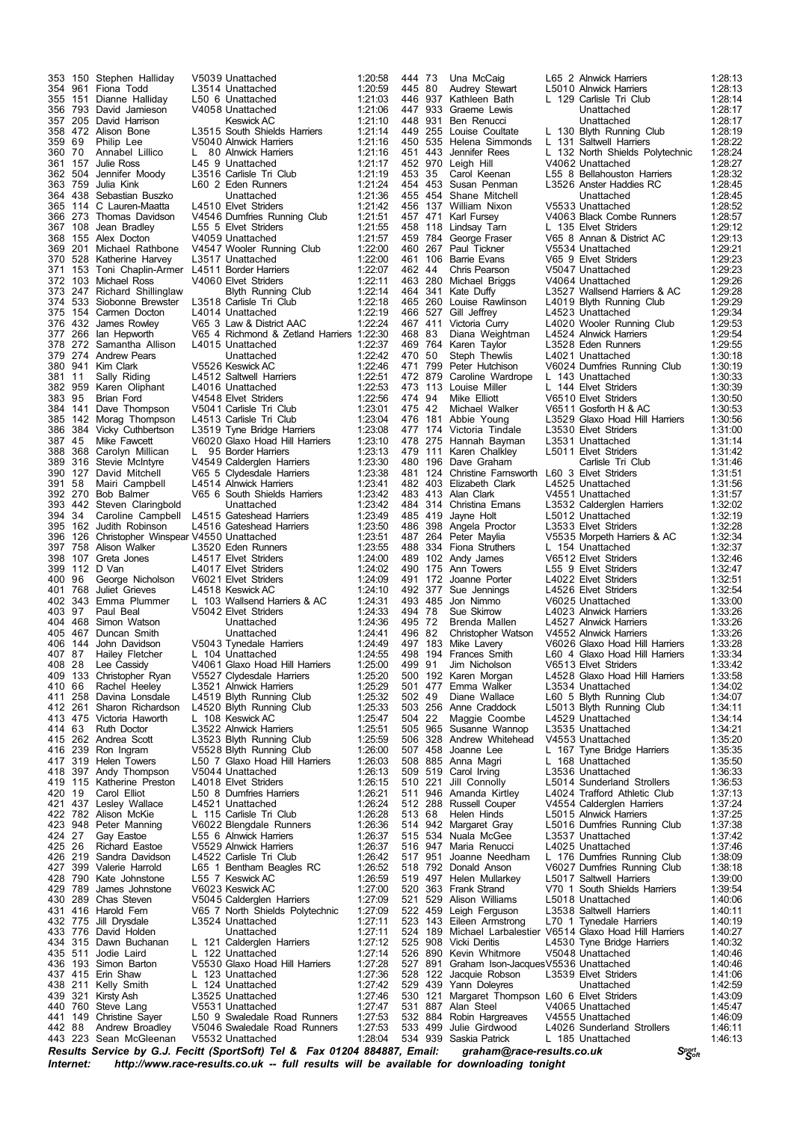*Internet: http://www.race-results.co.uk -- full results will be available for downloading tonight* 404 468 Simon Watson Unattached<br>405 467 Duncan Smith Unattached 443 223 Sean McGleenan

 150 Stephen Halliday V5039 Unattached 1:20:58 961 Fiona Todd L3514 Unattached 1:20:59 1.50 6 Unattached 793 David Jamieson V4058 Unattached 1:21:06 205 David Harrison Keswick AC 1:21:10 472 Alison Bone L3515 South Shields Harriers 1:21:14 69 Philip Lee V5040 Alnwick Harriers 1:21:16 70 Annabel Lillico L 80 Alnwick Harriers 1:21:16 361 157 Julie Ross Luis 1:21:17<br>362 504 Jennifer Moody L3516 Carlisle Tri Club 1:21:19<br>363 759 Julia Kink L60 2 Eden Runners 1:21:24 504 Jennifer Moody L3516 Carlisle Tri Club 1:21:19 759 Julia Kink L60 2 Eden Runners 1:21:24 364 438 Sebastian Buszko Unattached 1:21:36<br>365 114 C Lauren-Maatta L4510 Elvet Striders 1:21:42 114 C Lauren-Maatta L4510 Elvet Striders 1:21:42 273 Thomas Davidson V4546 Dumfries Running Club 1:21:51 367 108 Jean Bradley L55 5 Elvet Striders (1:21:55<br>368 155 Alex Docton V4059 Unattached (1:21:57 155 Alex Docton V4059 Unattached 1:21:57 201 Michael Rathbone V4547 Wooler Running Club 1:22:00 528 Katherine Harvey L3517 Unattached 1:22:00<br>153 Toni Chaolin-Armer L4511 Border Harriers 1:22:07 153 Toni Chaplin-Armer L4511 Border Harriers 1:22:07 103 Michael Ross V4060 Elvet Striders 1:22:11 247 Richard Shillinglaw Blyth Running Club 1:22:14 533 Siobonne Brewster L3518 Carlisle Tri Club 1:22:18 375 154 Carmen Docton L4014 Unattached 1:22:19<br>376 432 James Rowley V65 3 Law & District AAC 1:22:24 3 Law & District AAC 266 Ian Hepworth V65 4 Richmond & Zetland Harriers 1:22:30 272 Samantha Allison L4015 Unattached 1:22:37 274 Andrew Pears Unattached 1:22:42 941 Kim Clark V5526 Keswick AC 1:22:46 11 Sally Riding L4512 Saltwell Harriers 1:22:51 1:22:53 L4016 Unattached 1:22:53<br>1:22:54 V4548 Flyet Striders 1:22:56 95 Brian Ford V4548 Elvet Striders 1:22:56 141 Dave Thompson V5041 Carlisle Tri Club 1:23:01 142 Morag Thompson L4513 Carlisle Tri Club 1:23:04 384 Vicky Cuthbertson L3519 Tyne Bridge Harriers 1:23:08 45 Mike Fawcett V6020 Glaxo Hoad Hill Harriers 1:23:10 388 368 Carolyn Millican L 95 Border Harriers 1:23:13<br>389 316 Stevie McIntyre V4549 Calderglen Harriers 1:23:30<br>390 127 David Mitchell V65 5 Clydesdale Harriers 1:23:38 316 Stevie McIntyre V4549 Calderglen Harriers 1:23:30 127 David Mitchell V65 5 Clydesdale Harriers 1:23:38 391 58 Mairi Campbell L4514 Alnwick Harriers 1:23:41<br>392 270 Bob Balmer V65 6 South Shields Harriers 1:23:42 270 Bob Balmer V65 6 South Shields Harriers 1:23:42 442 Steven Claringbold Unattached 1:23:42 34 Caroline Campbell L4515 Gateshead Harriers 1:23:49 162 Judith Robinson L4516 Gateshead Harriers 1:23:50 126 Christopher Winspear V4550 Unattached 1:23:51 758 Alison Walker L3520 Eden Runners 1:23:55 107 Greta Jones L4517 Elvet Striders 1:24:00 112 D Van L4017 Elvet Striders 1:24:02 96 George Nicholson V6021 Elvet Striders 1:24:09 768 Juliet Grieves L4518 Keswick AC 1:24:10 343 Emma Plummer L 103 Wallsend Harriers & AC 1:24:31 97 Paul Beal V5042 Elvet Striders 1:24:33 467 Duncan Smith Unattached 1:24:41 144 John Davidson V5043 Tynedale Harriers 1:24:49 Hailey Fletcher L 104 Unattached 1:24:55<br>Lee Cassidy V4061 Glaxo Hoad Hill Harriers 1:25:00 28 Lee Cassidy V4061 Glaxo Hoad Hill Harriers 1:25:00 409 133 Christopher Ryan V5527 Clydesdale Harriers 1:25:20<br>410 66 Rachel Heeley L3521 Alnwick Harriers 1:25:29<br>411 258 Davina Lonsdale L4519 Blyth Running Club 1:25:32 410 66 Rachel Heeley L3521 Alnwick Harriers 1:25:29<br>258 Davina Lonsdale 14519 Blyth Running Club 1:25:32 258 Davina Lonsdale L4519 Blyth Running Club 1:25:32 261 Sharon Richardson L4520 Blyth Running Club 1:25:33 475 Victoria Haworth L 108 Keswick AC 1:25:47 414 63 Ruth Doctor L3522 Alnwick Harriers 1:25:51<br>415 262 Andrea Scott L3523 Blyth Running Club 1:25:59 262 Andrea Scott L3523 Blyth Running Club 1:25:59 V5528 Blyth Running Club 319 Helen Towers L50 7 Glaxo Hoad Hill Harriers 1:26:03 418 397 Andy Thompson US044 Unattached 1:26:13<br>419 115 Katherine Preston L4018 Elvet Striders 1:26:13 419 115 Katherine Preston L4018 Elvet Striders 1:26:15<br>420 19 Carol Elliot L50 8 Dumfries Harriers 1:26:21 420 19 Carol Elliot L50 8 Dumfries Harriers 1:26:21<br>421 437 Lesley Wallace L4521 Unattached 1:26:24 421 437 Lesley Wallace L4521 Unattached 1:26:24<br>422 782 Alison McKie L 115 Carlisle Tri Club 1:26:28 782 Alison McKie L 115 Carlisle Tri Club 1:26:28 V6022 Blengdale Runners 424 27 Gay Eastoe  $\sim$  1.55 6 Alnwick Harriers 1:26:37<br>425 26 Richard Eastoe V5529 Alnwick Harriers 1:26:37 26 Richard Eastoe V5529 Alnwick Harriers 1:26:37 219 Sandra Davidson L4522 Carlisle Tri Club 1:26:42 399 Valerie Harrold L65 1 Bentham Beagles RC 1:26:52 428 790 Kate Johnstone L55 7 Keswick AC 1:26:59<br>429 789 James Johnstone V6023 Keswick AC 1:27:00 789 James Johnstone V6023 Keswick AC 1:27:00 430 289 Chas Steven V5045 Calderglen Harriers 1:27:09<br>431 416 Harold Fern V65 7 North Shields Polytechnic 1:27:09 416 Harold Fern V65 7 North Shields Polytechnic 1:27:09 432 775 Jill Drysdale L3524 Unattached 1:27:11<br>433 776 David Holden Unattached 1:27:11 433 776 David Holden **Unattached** 1:27:11<br>434 315 Dawn Buchanan L 121 Calderglen Harriers 1:27:12 L 121 Calderglen Harriers 435 511 Jodie Laird L 122 Unattached 1:27:14<br>436 193 Simon Barton L V5530 Glaxo Hoad Hill Harriers 1:27:28 193 Simon Barton V5530 Glaxo Hoad Hill Harriers 1:27:28 437 415 Erin Shaw L 123 Unattached 1:27:36<br>438 211 Kelly Smith L 124 Unattached 1:27:42 211 Kelly Smith L 124 Unattached 1:27:42 321 Kirsty Ash L3525 Unattached 1:27:46 440 760 Steve Lang V5531 Unattached 1:27:47<br>441 149 Christine Sayer L50 9 Swaledale Road Runners 1:27:53 149 Christine Sayer L50 9 Swaledale Road Runners 1:27:53 V5046 Swaledale Road Runners 1:27:53<br>V5532 Unattached 1:28:04

*<sup>S</sup>port Results Service by G.J. Fecitt <sup>S</sup>oft (SportSoft) Tel & Fax <sup>01204</sup> 884887, Email: graham@race-results.co.uk* 444 73 Una McCaig L65 2 Alnwick Harriers 1:28:13 445 80 Audrey Stewart L5010 Alnwick Harriers 1:28:13 1 129 Carlisle Tri Club 447 933 Graeme Lewis Unattached 1:28:17 418 931 Ben Renucci **Brad Lunattached** 1:28:17<br>449 255 Louise Coultate L 130 Blyth Running Club 1:28:19 449 255 Louise Coultate L 130 Blyth Running Club 1:28:19<br>450 535 Helena Simmonds L 131 Saltwell Harriers 1:28:22 450 535 Helena Simmonds L 131 Saltwell Harriers 1:28:22<br>451 443 Jennifer Rees L 132 North Shields Polytechnic 1:28:24 451 443 Jennifer Rees L 132 North Shields Polytechnic 1:28:24<br>452 970 Leigh Hill V4062 Unattached 1:28:27 V4062 Unattached 453 35 Carol Keenan L55 8 Bellahouston Harriers 1:28:32 454 453 Susan Penman L3526 Anster Haddies RC 1:28:45 455 454 Shane Mitchell **11 - Unattached 1:28:45**<br>456 137 William Nixon V5533 Unattached 1:28:52 456 137 William Nixon V5533 Unattached 11:28:52<br>457 471 Karl Fursey V4063 Black Combe Runners 1:28:57 457 471 Karl Fursey V4063 Black Combe Runners 1:28:57 458 118 Lindsay Tam L 135 Elvet Striders 1129:12<br>459 784 George Fraser V65 8 Annan & District AC 1:29:13 459 784 George Fraser V65 8 Annan & District AC 1:29:13 460 267 Paul Tickner V5534 Unattached 1:29:21 461 106 Barrie Evans V65 9 Elvet Striders 1:29:23<br>462 44 Chris Pearson V5047 Unattached 1:29:23 462 44 Chris Pearson V5047 Unattached 1:29:23<br>463 280 Michael Briggs V4064 Unattached 1:29:26 463 280 Michael Briggs V4064 Unattached 1:29:26<br>464 341 Kate Duffy 1:39:26 L3527 Wallsend Harriers & AC 1:29:28 41 Kate Duffy  $\sim$  L3527 Wallsend Harriers & AC 1:29:28<br>260 Louise Rawlinson L4019 Blyth Running Club 1:29:29 465 260 Louise Rawlinson L4019 Blyth Running Club 1:29:29 466 527 Gill Jeffrey L4523 Unattached 1:29:34 Victoria Curry L4020 Wooler Running Club<br>Diana Weightman L4524 Alnwick Harriers 468 83 Diana Weightman L4524 Alnwick Harriers 1:29:54 469 764 Karen Taylor L3528 Eden Runners 1:29:55 470 50 Steph Thewlis L4021 Unattached 1:30:18<br>471 799 Peter Hutchison V6024 Dumfries Running Club 1:30:19 471 799 Peter Hutchison V6024 Dumfries Running Club 1:30:19 472 879 Caroline Wardrope L 143 Unattached 1:30:33<br>473 113 Louise Miller L 144 Flyet Striders 1:30:39 Louise Miller L 144 Elvet Striders<br>Mike Flliott V6510 Flvet Striders 474 94 Mike Elliott V6510 Elvet Striders 1:30:50<br>475 42 Michael Walker V6511 Gosforth H & AC 1:30:53 475 42 Michael Walker V6511 Gosforth H & AC 1:30:53<br>476 181 Abbie Young L3529 Glaxo Hoad Hill Harriers 1:30:56 476 181 Abbie Young L3529 Glaxo Hoad Hill Harriers 1:30:56 477 174 Victoria Tindale L3530 Elvet Striders 1:31:00<br>478 275 Hannah Bayman L3531 Unattached 1:31:14 478 275 Hannah Bayman L3531 Unattached 1:31:14 479 111 Karen Chalkley L5011 Elvet Striders 1:31:42<br>480 196 Dave Graham Carlisle Tri Club 1:31:46 480 196 Dave Graham **Carlisle Tri Club** 1:31:46<br>481 124 Christine Farnsworth L60 3 Flyet Striders 1:31:51 481 124 Christine Farnsworth L60 3 Elvet Striders 1:31:51<br>482 403 Elizabeth Clark L4525 Unattached 1:31:56 482 403 Elizabeth Clark L4525 Unattached 1:31:56<br>483 413 Alan Clark V4551 Unattached 1:31:56 483 413 Alan Clark V4551 Unattached 1:31:57 484 314 Christina Emans L3532 Calderglen Harriers 1:32:02 485 419 Jayne Holt L5012 Unattached 1:32:19 486 398 Angela Proctor L3533 Elvet Striders (1:32:28 1:32:28 487 264 Peter Maylia (1:32:34 1:32:34 1:32:34 1:32 264 Peter Maylia V5535 Morpeth Harriers & AC<br>334 Fiona Struthers 1 154 Unattached 488 334 Fiona Struthers L 154 Unattached 1:32:37<br>489 102 Andy James V6512 Elvet Striders 1:32:46 489 102 Andy James V6512 Elvet Striders 1:32:46 490 175 Ann Towers L55 9 Elvet Striders 1:32:47<br>491 172 Joanne Porter L4022 Elvet Striders 1:32:51 491 172 Joanne Porter L4022 Elvet Striders 1:32:51<br>492 377 Sue Jennings L4526 Elvet Striders 1:32:54 492 377 Sue Jennings L4526 Elvet Striders 1:32:54 493 485 Jon Nimmo V6025 Unattached 1:33:00 494 78 Sue Skirrow L4023 Alnwick Harriers 1:33:26 Brenda Mallen L4527 Alnwick Harriers<br>Christopher Watson V4552 Alnwick Harriers 496 82 Christopher Watson V4552 Alnwick Harriers 1:33:26<br>497 183 Mike Lavery 16026 Glaxo Hoad Hill Harriers 1:33:28 497 183 Mike Lavery V6026 Glaxo Hoad Hill Harriers 1:33:28 498 194 Frances Smith L60 4 Glaxo Hoad Hill Harriers<br>499 91 Jim Nicholson V6513 Elvet Striders 499 91 Jim Nicholson V6513 Elvet Striders 1:33:42<br>500 192 Karen Morgan L4528 Glaxo Hoad Hill Harriers 1:33:58 500 192 Karen Morgan L4528 Glaxo Hoad Hill Harriers 1:33:58 501 Emma Walker Lating Lating Lating Lating Marker 2016.<br>501 Emma Wallace Lating Bluth Running Club 502 49 Diane Wallace L60 5 Blyth Running Club 1:34:07 503 256 Anne Craddock L5013 Blyth Running Club 1:34:11 504 22 Maggie Coombe L4529 Unattached (1:34:14<br>505 965 Susanne Wannop L3535 Unattached (1:34:21 505 965 Susanne Wannop L3535 Unattached 1:34:21<br>506 328 Andrew Whitehead V4553 Unattached 1:35:20 506 328 Andrew Whitehead V4553 Unattached 1:35:20 L 167 Tyne Bridge Harriers 508 885 Anna Magri L 168 Unattached 1:35:50 509 519 Carol Irving Land Land Land Land Land Land Land 1:36:33<br>510 221 Jill Connolly L5014 Sunderland Strollers 1:36:53 510 221 Jill Connolly L5014 Sunderland Strollers 1:36:53 511 946 Amanda Kirtley L4024 Trafford Athletic Club 1:37:13 512 288 Russell Couper V4554 Calderglen Harriers 1:37:24 513 68 Helen Hinds L5015 Alnwick Harriers 1:37:25<br>514 942 Margaret Gray L5016 Dumfries Running Club 1:37:38 514 942 Margaret Gray L5016 Dumfries Running Club 1:37:38 515 534 Nuala McGee L3537 Unattached 1:37:42 516 947 Maria Renucci L4025 Unattached 1:37:46 517 951 Joanne Needham L 176 Dumfries Running Club 1:38:09 518 792 Donald Anson V6027 Dumfries Running Club 1:38:18 519 497 Helen Mullarkey L5017 Saltwell Harriers 1:39:00 520 363 Frank Strand V70 1 South Shields Harriers 1:39:54 521 529 Alison Williams L5018 Unattached 1:40:06 Leigh Ferguson L3538 Saltwell Harriers 1:40:11<br>Eileen Armstrong L70 1 Tynedale Harriers 1:40:19 523 143 Eileen Armstrong L70 1 Tynedale Harriers 1:40:19 524 189 Michael Larbalestier V6514 Glaxo Hoad Hill Harriers 1:40:27 525 908 Vicki Deritis L4530 Tyne Bridge Harriers 1:40:32<br>526 890 Kevin Whitmore V5048 Unattached 1:40:46 526 890 Kevin Whitmore V5048 Unattached 1:40:46 527 891 Graham Ison-JacquesV5536 Unattached 1:40:46 528 122 Jacquie Robson L3539 Elvet Striders 1:41:06 529 439 Yann Doleyres Unattached 1:42:59 530 121 Margaret Thompson L60 6 Elvet Striders 1:43:09 531 887 Alan Steel V4065 Unattached 1:45:47<br>532 884 Robin Hargreaves V4555 Unattached 1:46:09 532 884 Robin Hargreaves V4555 Unattached 1:46:09 533 499 Julie Girdwood L4026 Sunderland Strollers 1:46:11 L 185 Unattached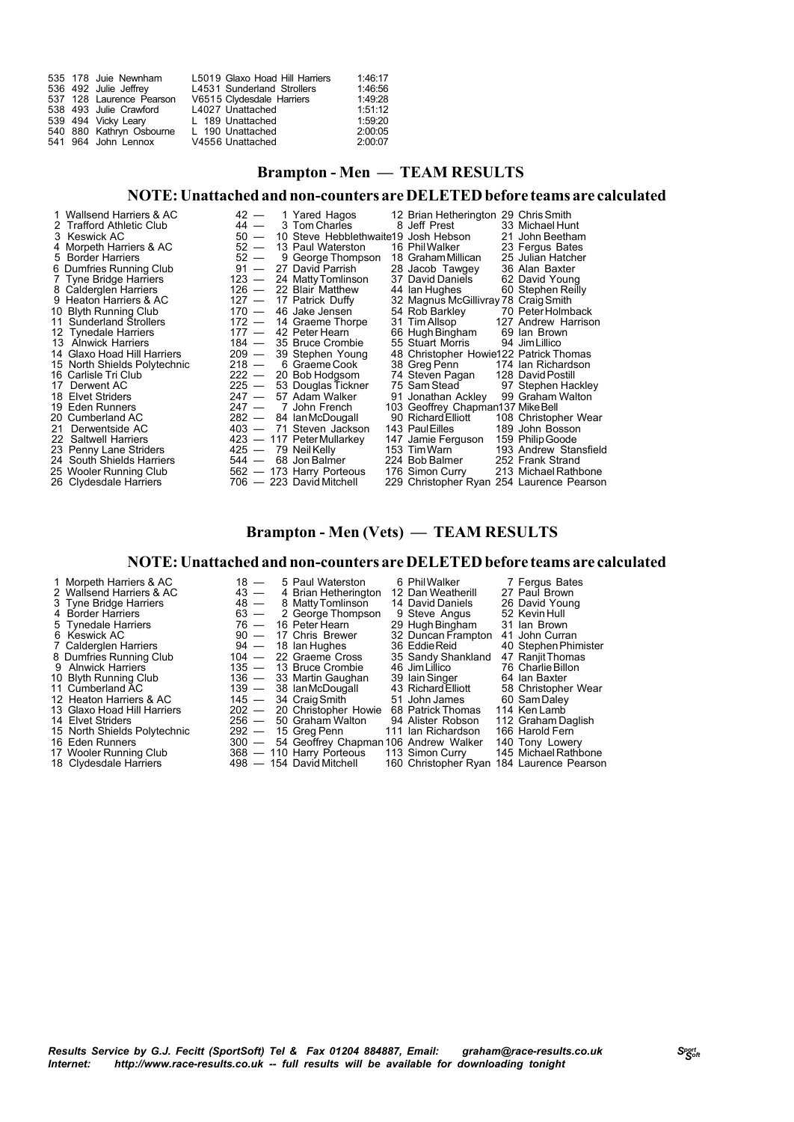|  | L5019 Glaxo Hoad Hill Harriers                                                                                                                                                | 1:46:17 |
|--|-------------------------------------------------------------------------------------------------------------------------------------------------------------------------------|---------|
|  | L4531 Sunderland Strollers                                                                                                                                                    | 1:46:56 |
|  | V6515 Clydesdale Harriers                                                                                                                                                     | 1:49:28 |
|  | L4027 Unattached                                                                                                                                                              | 1:51:12 |
|  | L 189 Unattached                                                                                                                                                              | 1:59:20 |
|  | L 190 Unattached                                                                                                                                                              | 2:00:05 |
|  | V4556 Unattached                                                                                                                                                              | 2:00:07 |
|  | 535 178 Juie Newnham<br>536 492 Julie Jeffrey<br>537 128 Laurence Pearson<br>538 493 Julie Crawford<br>539 494 Vicky Leary<br>540 880 Kathryn Osbourne<br>541 964 John Lennox |         |

## **Brampton - Men — TEAM RESULTS**

### **NOTE:Unattachedandnon-counters areDELETEDbefore teams are calculated**

| 1 Wallsend Harriers & AC     |         | $42 - 1$ Yared Hagos                      | 12 Brian Hetherington 29 Chris Smith   |                                           |
|------------------------------|---------|-------------------------------------------|----------------------------------------|-------------------------------------------|
| 2 Trafford Athletic Club     | 44 —    | 3 Tom Charles                             | 8 Jeff Prest                           | 33 Michael Hunt                           |
| 3 Keswick AC                 |         | 50 - 10 Steve Hebblethwaite19 Josh Hebson |                                        | 21 John Beetham                           |
| 4 Morpeth Harriers & AC      | $52 -$  | 13 Paul Waterston                         | 16 Phil Walker                         | 23 Fergus Bates                           |
| 5 Border Harriers            | $52 -$  | 9 George Thompson                         | 18 Graham Millican                     | 25 Julian Hatcher                         |
| 6 Dumfries Running Club      |         | 91 - 27 David Parrish                     | 28 Jacob Tawgey                        | 36 Alan Baxter                            |
| 7 Tyne Bridge Harriers       | $123 -$ | 24 Matty Tomlinson                        | 37 David Daniels                       | 62 David Young                            |
| 8 Calderglen Harriers        |         | $126 - 22$ Blair Matthew                  | 44 Ian Hughes                          | 60 Stephen Reilly                         |
| 9 Heaton Harriers & AC       |         | 127 - 17 Patrick Duffy                    | 32 Magnus McGillivray 78 Craig Smith   |                                           |
| 10 Blyth Running Club        |         | 170 — 46 Jake Jensen                      | 54 Rob Barkley                         | 70 Peter Holmback                         |
| 11 Sunderland Strollers      |         | 172 - 14 Graeme Thorpe                    | 31 Tim Allsop                          | 127 Andrew Harrison                       |
| 12 Tynedale Harriers         | $177 -$ | 42 Peter Hearn                            | 66 Hugh Bingham                        | 69 Ian Brown                              |
| 13 Alnwick Harriers          | 184 —   | 35 Bruce Crombie                          | 55 Stuart Morris                       | 94 Jim Lillico                            |
| 14 Glaxo Hoad Hill Harriers  | 209 —   | 39 Stephen Young                          | 48 Christopher Howie122 Patrick Thomas |                                           |
| 15 North Shields Polytechnic |         | 218 - 6 Graeme Cook                       | 38 Greg Penn                           | 174 Ian Richardson                        |
| 16 Carlisle Tri Club         |         | $222 - 20$ Bob Hodgsom                    | 74 Steven Pagan                        | 128 David Postill                         |
| 17 Derwent AC                |         | 225 - 53 Douglas Tickner                  | 75 Sam Stead                           | 97 Stephen Hackley                        |
| 18 Elvet Striders            | $247 -$ | 57 Adam Walker                            | 91 Jonathan Ackley                     | 99 Graham Walton                          |
| 19 Eden Runners              | $247 -$ | 7 John French                             | 103 Geoffrey Chapman137 Mike Bell      |                                           |
| 20 Cumberland AC             |         | 282 - 84 Ian McDougall                    | 90 Richard Elliott                     | 108 Christopher Wear                      |
| 21 Derwentside AC            |         | 403 - 71 Steven Jackson                   | 143 Paul Eilles                        | 189 John Bosson                           |
| 22 Saltwell Harriers         |         | 423 - 117 Peter Mullarkey                 | 147 Jamie Ferguson                     | 159 Philip Goode                          |
| 23 Penny Lane Striders       |         | 425 — 79 Neil Kelly                       | 153 Tim Warn                           | 193 Andrew Stansfield                     |
| 24 South Shields Harriers    | 544 —   | 68 Jon Balmer                             | 224 Bob Balmer                         | 252 Frank Strand                          |
| 25 Wooler Running Club       |         | 562 - 173 Harry Porteous                  | 176 Simon Curry                        | 213 Michael Rathbone                      |
| 26 Clydesdale Harriers       |         | 706 - 223 David Mitchell                  |                                        | 229 Christopher Ryan 254 Laurence Pearson |

## **Brampton - Men (Vets) — TEAM RESULTS**

#### **NOTE:Unattachedandnon-counters areDELETEDbefore teams are calculated**

| 1 Morpeth Harriers & AC      | $18 -$  | 5 Paul Waterston                      | 6 Phil Walker      | 7 Fergus Bates       |
|------------------------------|---------|---------------------------------------|--------------------|----------------------|
| 2 Wallsend Harriers & AC     | $43 -$  | 4 Brian Hetherington                  | 12 Dan Weatherill  | 27 Paul Brown        |
| 3 Tyne Bridge Harriers       | $48 -$  | 8 Matty Tomlinson                     | 14 David Daniels   | 26 David Young       |
| 4 Border Harriers            | $63 -$  | 2 George Thompson                     | 9 Steve Angus      | 52 Kevin Hull        |
| 5 Tynedale Harriers          | $76 -$  | 16 Peter Hearn                        | 29 Hugh Bingham    | 31 Ian Brown         |
| 6 Keswick AC                 | $90 -$  | 17 Chris Brewer                       | 32 Duncan Frampton | 41 John Curran       |
| 7 Calderglen Harriers        |         | $94 - 18$ lan Hughes                  | 36 Eddie Reid      | 40 Stephen Phimister |
| 8 Dumfries Running Club      | $104 -$ | 22 Graeme Cross                       | 35 Sandy Shankland | 47 Ranjit Thomas     |
| 9 Alnwick Harriers           |         | 135 - 13 Bruce Crombie                | 46 Jim Lillico     | 76 Charlie Billon    |
| 10 Blyth Running Club        |         | 136 - 33 Martin Gaughan               | 39 Iain Singer     | 64 Ian Baxter        |
| 11 Cumberland AC             |         | 139 - 38 Ian McDougall                | 43 Richard Elliott | 58 Christopher Wear  |
| 12 Heaton Harriers & AC      |         | 145 - 34 Craig Smith                  | 51 John James      | 60 Sam Daley         |
| 13 Glaxo Hoad Hill Harriers  |         | 202 - 20 Christopher Howie            | 68 Patrick Thomas  | 114 Ken Lamb         |
| 14 Elvet Striders            | $256 -$ | 50 Graham Walton                      | 94 Alister Robson  | 112 Graham Daglish   |
| 15 North Shields Polytechnic | $292 -$ | 15 Greg Penn                          | 111 Ian Richardson | 166 Harold Fern      |
| 16 Eden Runners              | $300 -$ | 54 Geoffrey Chapman 106 Andrew Walker |                    | 140 Tony Lowery      |

- 
- 

17 Wooler Running Club 368 — 110 Harry Porteous 113 Simon Curry 145 MichaelRathbone 18 Clydesdale Harriers 498 — 154 David Mitchell 160 Christopher Ryan 184 Laurence Pearson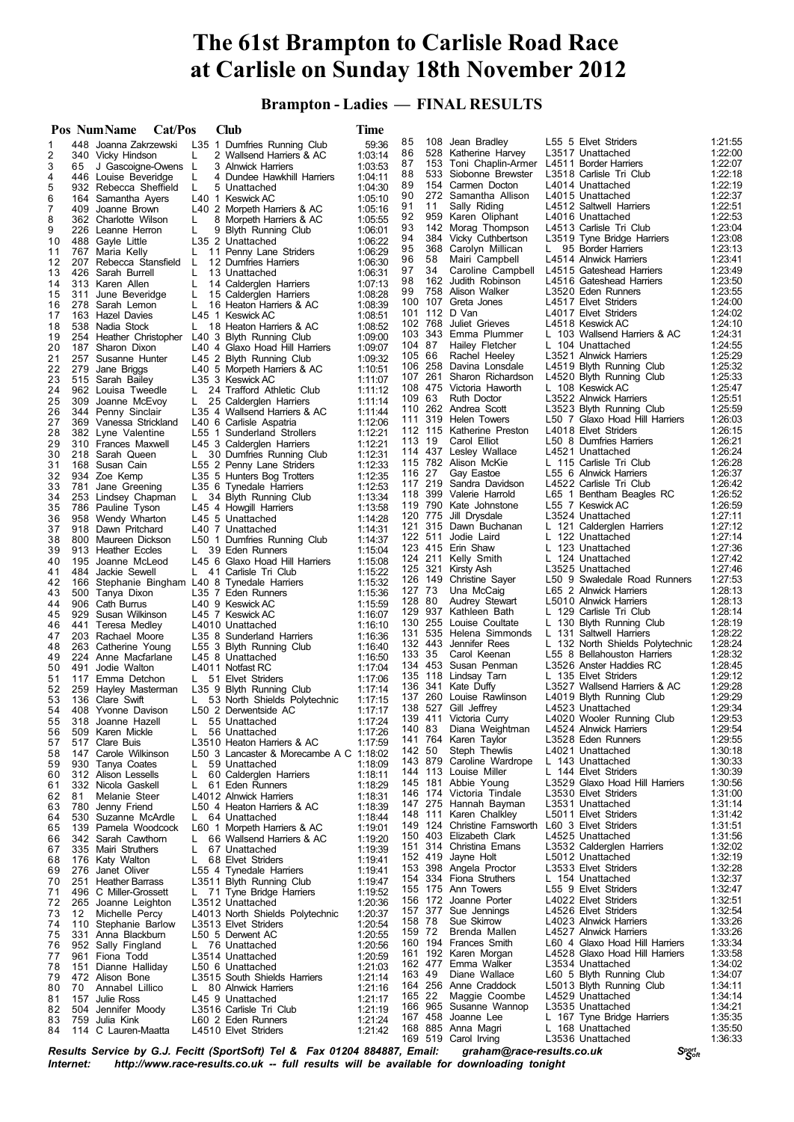# **The 61st Brampton to Carlisle Road Race at Carlisle on Sunday 18th November 2012**

 **Brampton - Ladies — FINAL RESULTS**

|          |     | Pos NumName<br>Cat/Pos                        |          | <b>Club</b>                                            | Time               |               |                |                                                                   |    |                                                        |                    |
|----------|-----|-----------------------------------------------|----------|--------------------------------------------------------|--------------------|---------------|----------------|-------------------------------------------------------------------|----|--------------------------------------------------------|--------------------|
| 1        |     | 448 Joanna Zakrzewski                         |          | L35 1 Dumfries Running Club                            | 59:36              | 85            | 108            | Jean Bradley                                                      |    | L55 5 Elvet Striders                                   | 1:21:55            |
| 2        |     | 340 Vicky Hindson                             | L        | 2 Wallsend Harriers & AC                               | 1:03:14            | 86            | 528            | Katherine Harvey                                                  |    | L3517 Unattached                                       | 1:22:00            |
| 3        | 65  | J Gascoigne-Owens                             | L        | 3 Alnwick Harriers                                     | 1:03:53            | 87            |                | 153 Toni Chaplin-Armer L4511 Border Harriers<br>Siobonne Brewster |    | L3518 Carlisle Tri Club                                | 1:22:07            |
| 4        |     | 446 Louise Beveridge                          | L        | 4 Dundee Hawkhill Harriers                             | 1:04:11            | 88<br>89      | 533<br>154     | Carmen Docton                                                     |    | L4014 Unattached                                       | 1:22:18<br>1:22:19 |
| 5        |     | 932 Rebecca Sheffield                         | L        | 5 Unattached                                           | 1:04:30            | 90            |                | 272 Samantha Allison                                              |    | L4015 Unattached                                       | 1:22:37            |
| 6<br>7   | 409 | 164 Samantha Ayers<br>Joanne Brown            |          | L40 1 Keswick AC<br>L40 2 Morpeth Harriers & AC        | 1:05:10<br>1:05:16 | 91            | 11             | Sally Riding                                                      |    | L4512 Saltwell Harriers                                | 1:22:51            |
| 8        |     | 362 Charlotte Wilson                          | L.       | 8 Morpeth Harriers & AC                                | 1:05:55            | 92            | 959            | Karen Oliphant                                                    |    | L4016 Unattached                                       | 1:22:53            |
| 9        |     | 226 Leanne Herron                             | L        | 9 Blyth Running Club                                   | 1:06:01            | 93            |                | 142 Morag Thompson                                                |    | L4513 Carlisle Tri Club                                | 1:23:04            |
| 10       |     | 488 Gayle Little                              |          | L35 2 Unattached                                       | 1:06:22            | 94            |                | 384 Vicky Cuthbertson                                             |    | L3519 Tyne Bridge Harriers                             | 1:23:08            |
| 11       |     | 767 Maria Kelly                               | L.       | 11 Penny Lane Striders                                 | 1:06:29            | 95            | 368            | Carolyn Millican                                                  | L. | 95 Border Harriers                                     | 1:23:13            |
| 12       |     | 207 Rebecca Stansfield                        | L        | 12 Dumfries Harriers                                   | 1:06:30            | 96            | 58             | Mairi Campbell                                                    |    | L4514 Alnwick Harriers                                 | 1:23:41            |
| 13       |     | 426 Sarah Burrell                             | L        | 13 Unattached                                          | 1:06:31            | 97<br>98      | 34             | Caroline Campbell<br>162 Judith Robinson                          |    | L4515 Gateshead Harriers<br>L4516 Gateshead Harriers   | 1:23:49<br>1:23:50 |
| 14       |     | 313 Karen Allen                               | L        | 14 Calderglen Harriers                                 | 1:07:13            | 99            | 758            | Alison Walker                                                     |    | L3520 Eden Runners                                     | 1:23:55            |
| 15<br>16 |     | 311 June Beveridge<br>278 Sarah Lemon         | L<br>L   | 15 Calderglen Harriers                                 | 1:08:28<br>1:08:39 | 100           |                | 107 Greta Jones                                                   |    | L4517 Elvet Striders                                   | 1:24:00            |
| 17       |     | 163 Hazel Davies                              |          | 16 Heaton Harriers & AC<br>L45 1 Keswick AC            | 1:08:51            | 101           |                | 112 D Van                                                         |    | L4017 Elvet Striders                                   | 1:24:02            |
| 18       |     | 538 Nadia Stock                               | L.       | 18 Heaton Harriers & AC                                | 1:08:52            |               | 102 768        | Juliet Grieves                                                    |    | L4518 Keswick AC                                       | 1:24:10            |
| 19       |     | 254 Heather Christopher                       |          | L40 3 Blyth Running Club                               | 1:09:00            |               |                | 103 343 Emma Plummer                                              |    | L 103 Wallsend Harriers & AC                           | 1:24:31            |
| 20       |     | 187 Sharon Dixon                              |          | L40 4 Glaxo Hoad Hill Harriers                         | 1:09:07            | 104 87        |                | Hailey Fletcher                                                   |    | L 104 Unattached                                       | 1:24:55            |
| 21       |     | 257 Susanne Hunter                            |          | L45 2 Blyth Running Club                               | 1:09:32            | 105 66        |                | Rachel Heeley                                                     |    | L3521 Alnwick Harriers                                 | 1:25:29            |
| 22       | 279 | Jane Briggs                                   |          | L40 5 Morpeth Harriers & AC                            | 1:10:51            | 106<br>107    | 258<br>261     | Davina Lonsdale                                                   |    | L4519 Blyth Running Club                               | 1:25:32<br>1:25:33 |
| 23       |     | 515 Sarah Bailey                              |          | L35 3 Keswick AC                                       | 1:11:07            |               |                | Sharon Richardson<br>108 475 Victoria Haworth                     |    | L4520 Blyth Running Club<br>L 108 Keswick AC           | 1:25:47            |
| 24<br>25 | 309 | 962 Louisa Tweedle                            | L.<br>L. | 24 Trafford Athletic Club                              | 1:11:12<br>1:11:14 | 109 63        |                | <b>Ruth Doctor</b>                                                |    | L3522 Alnwick Harriers                                 | 1:25:51            |
| 26       |     | Joanne McEvoy<br>344 Penny Sinclair           |          | 25 Calderglen Harriers<br>L35 4 Wallsend Harriers & AC | 1:11:44            |               |                | 110 262 Andrea Scott                                              |    | L3523 Blyth Running Club                               | 1:25:59            |
| 27       |     | 369 Vanessa Strickland                        |          | L40 6 Carlisle Aspatria                                | 1:12:06            | 111           | 319            | Helen Towers                                                      |    | L50 7 Glaxo Hoad Hill Harriers                         | 1:26:03            |
| 28       |     | 382 Lyne Valentine                            |          | L55 1 Sunderland Strollers                             | 1:12:21            |               |                | 112 115 Katherine Preston                                         |    | L4018 Elvet Striders                                   | 1:26:15            |
| 29       |     | 310 Frances Maxwell                           |          | L45 3 Calderglen Harriers                              | 1:12:21            | 113 19        |                | Carol Elliot                                                      |    | L50 8 Dumfries Harriers                                | 1:26:21            |
| 30       |     | 218 Sarah Queen                               | L.       | 30 Dumfries Running Club                               | 1:12:31            |               |                | 114 437 Lesley Wallace                                            |    | L4521 Unattached                                       | 1:26:24            |
| 31       |     | 168 Susan Cain                                |          | L55 2 Penny Lane Striders                              | 1:12:33            |               |                | 115 782 Alison McKie                                              |    | L 115 Carlisle Tri Club                                | 1:26:28            |
| 32       |     | 934 Zoe Kemp                                  |          | L35 5 Hunters Bog Trotters                             | 1:12:35            | 116 27        | 117 219        | Gay Eastoe<br>Sandra Davidson                                     |    | L55 6 Alnwick Harriers<br>L4522 Carlisle Tri Club      | 1:26:37<br>1:26:42 |
| 33       | 781 | Jane Greening                                 |          | L35 6 Tynedale Harriers                                | 1:12:53            |               |                | 118 399 Valerie Harrold                                           |    | L65 1 Bentham Beagles RC                               | 1:26:52            |
| 34<br>35 |     | 253 Lindsey Chapman<br>786 Pauline Tyson      | L.       | 34 Blyth Running Club                                  | 1:13:34<br>1:13:58 | 119           | 790            | Kate Johnstone                                                    |    | L55 7 Keswick AC                                       | 1:26:59            |
| 36       |     | 958 Wendy Wharton                             |          | L45 4 Howgill Harriers<br>L45 5 Unattached             | 1:14:28            |               | 120 775        | Jill Drysdale                                                     |    | L3524 Unattached                                       | 1:27:11            |
| 37       |     | 918 Dawn Pritchard                            |          | L40 7 Unattached                                       | 1:14:31            |               | 121 315        | Dawn Buchanan                                                     |    | L 121 Calderglen Harriers                              | 1:27:12            |
| 38       |     | 800 Maureen Dickson                           |          | L50 1 Dumfries Running Club                            | 1:14:37            |               | 122 511        | Jodie Laird                                                       |    | L 122 Unattached                                       | 1:27:14            |
| 39       |     | 913 Heather Eccles                            | L.       | 39 Eden Runners                                        | 1:15:04            |               |                | 123 415 Erin Shaw                                                 |    | L 123 Unattached                                       | 1:27:36            |
| 40       |     | 195 Joanne McLeod                             |          | L45 6 Glaxo Hoad Hill Harriers                         | 1:15:08            |               | 124 211        | Kelly Smith                                                       |    | L 124 Unattached                                       | 1:27:42            |
| 41       | 484 | Jackie Sewell                                 |          | L 41 Carlisle Tri Club                                 | 1:15:22            |               | 125 321<br>149 | Kirsty Ash                                                        |    | L3525 Unattached                                       | 1:27:46<br>1:27:53 |
| 42       |     | 166 Stephanie Bingham L40 8 Tynedale Harriers |          |                                                        | 1:15:32            | 126<br>127 73 |                | Christine Sayer<br>Una McCaig                                     |    | L50 9 Swaledale Road Runners<br>L65 2 Alnwick Harriers | 1:28:13            |
| 43       |     | 500 Tanya Dixon                               |          | L35 7 Eden Runners                                     | 1:15:36            | 128 80        |                | Audrey Stewart                                                    |    | L5010 Alnwick Harriers                                 | 1:28:13            |
| 44<br>45 |     | 906 Cath Burrus<br>929 Susan Wilkinson        |          | L40 9 Keswick AC<br>L45 7 Keswick AC                   | 1:15:59<br>1:16:07 | 129           | 937            | Kathleen Bath                                                     |    | L 129 Carlisle Tri Club                                | 1:28:14            |
| 46       |     | 441 Teresa Medley                             |          | L4010 Unattached                                       | 1:16:10            | 130           |                | 255 Louise Coultate                                               |    | L 130 Blyth Running Club                               | 1:28:19            |
| 47       |     | 203 Rachael Moore                             |          | L35 8 Sunderland Harriers                              | 1:16:36            | 131           | 535            | Helena Simmonds                                                   |    | L 131 Saltwell Harriers                                | 1:28:22            |
| 48       |     | 263 Catherine Young                           |          | L55 3 Blyth Running Club                               | 1:16:40            |               | 132 443        | Jennifer Rees                                                     |    | L 132 North Shields Polytechnic                        | 1:28:24            |
| 49       |     | 224 Anne Macfarlane                           |          | L45 8 Unattached                                       | 1:16:50            | 133 35        |                | Carol Keenan                                                      |    | L55 8 Bellahouston Harriers                            | 1:28:32            |
| 50       | 491 | Jodie Walton                                  |          | L4011 Notfast RC                                       | 1:17:04            | 134           | 453            | Susan Penman                                                      |    | L3526 Anster Haddies RC<br>L 135 Elvet Striders        | 1:28:45<br>1:29:12 |
| 51       |     | 117 Emma Detchon                              | L.       | 51 Elvet Striders                                      | 1:17:06            | 136           |                | 135 118 Lindsay Tarn<br>341 Kate Duffy                            |    | L3527 Wallsend Harriers & AC                           | 1:29:28            |
| 52       | 259 | Hayley Masterman                              |          | L35 9 Blyth Running Club                               | 1:17:14            |               | 137 260        | Louise Rawlinson                                                  |    | L4019 Blyth Running Club                               | 1:29:29            |
| 53<br>54 |     | 136 Clare Swift<br>408 Yvonne Davison         | L.       | 53 North Shields Polytechnic<br>L50 2 Derwentside AC   | 1:17:15<br>1:17:17 |               |                | 138 527 Gill Jeffrey                                              |    | L4523 Unattached                                       | 1:29:34            |
| 55       |     | 318 Joanne Hazell                             | L        | 55 Unattached                                          | 1:17:24            |               |                | 139 411 Victoria Curry                                            |    | L4020 Wooler Running Club                              | 1:29:53            |
| 56       |     | 509 Karen Mickle                              | L        | 56 Unattached                                          | 1:17:26            | 140 83        |                | Diana Weightman                                                   |    | L4524 Alnwick Harriers                                 | 1:29:54            |
| 57       |     | 517 Clare Buis                                |          | L3510 Heaton Harriers & AC                             | 1:17:59            |               |                | 141 764 Karen Taylor                                              |    | L3528 Eden Runners                                     | 1:29:55            |
| 58       | 147 | Carole Wilkinson                              |          | L50 3 Lancaster & Morecambe A C 1:18:02                |                    | 142 50        |                | Steph Thewlis                                                     |    | L4021 Unattached                                       | 1:30:18            |
| 59       |     | 930 Tanya Coates                              | L        | 59 Unattached                                          | 1:18:09            |               | 143 879        | Caroline Wardrope<br>144 113 Louise Miller                        |    | L 143 Unattached<br>L 144 Elvet Striders               | 1:30:33<br>1:30:39 |
| 60       |     | 312 Alison Lessells                           | L.       | 60 Calderglen Harriers                                 | 1:18:11            |               |                | 145 181 Abbie Young                                               |    | L3529 Glaxo Hoad Hill Harriers                         | 1:30:56            |
| 61       | 81  | 332 Nicola Gaskell                            | L        | 61 Eden Runners<br>L4012 Alnwick Harriers              | 1:18:29            | 146           |                | 174 Victoria Tindale                                              |    | L3530 Elvet Striders                                   | 1:31:00            |
| 62<br>63 | 780 | Melanie Steer<br>Jenny Friend                 |          | L50 4 Heaton Harriers & AC                             | 1:18:31<br>1:18:39 | 147           |                | 275 Hannah Bayman                                                 |    | L3531 Unattached                                       | 1:31:14            |
| 64       | 530 | Suzanne McArdle                               | L.       | 64 Unattached                                          | 1:18:44            | 148           |                | 111 Karen Chalkley                                                |    | L5011 Elvet Striders                                   | 1:31:42            |
| 65       |     | 139 Pamela Woodcock                           |          | L60 1 Morpeth Harriers & AC                            | 1:19:01            | 149           |                | 124 Christine Farnsworth                                          |    | L60 3 Elvet Striders                                   | 1:31:51            |
| 66       |     | 342 Sarah Cawthorn                            | L.       | 66 Wallsend Harriers & AC                              | 1:19:20            |               |                | 150 403 Elizabeth Clark                                           |    | L4525 Unattached                                       | 1:31:56            |
| 67       |     | 335 Mairi Struthers                           | L.       | 67 Unattached                                          | 1:19:39            | 151           |                | 314 Christina Emans                                               |    | L3532 Calderglen Harriers                              | 1:32:02            |
| 68       |     | 176 Katy Walton                               | L.       | 68 Elvet Striders                                      | 1:19:41            |               |                | 152 419 Jayne Holt                                                |    | L5012 Unattached                                       | 1:32:19            |
| 69       | 276 | Janet Oliver                                  |          | L55 4 Tynedale Harriers                                | 1:19:41            | 153<br>154    |                | 398 Angela Proctor<br>334 Fiona Struthers                         |    | L3533 Elvet Striders<br>L 154 Unattached               | 1:32:28<br>1:32:37 |
| 70       | 251 | <b>Heather Barrass</b>                        |          | L3511 Blyth Running Club                               | 1:19:47            | 155           |                | 175 Ann Towers                                                    |    | L55 9 Elvet Striders                                   | 1:32:47            |
| 71<br>72 | 265 | 496 C Miller-Grossett<br>Joanne Leighton      |          | L 71 Tyne Bridge Harriers<br>L3512 Unattached          | 1:19:52<br>1:20:36 |               | 156 172        | Joanne Porter                                                     |    | L4022 Elvet Striders                                   | 1:32:51            |
| 73       | 12  | Michelle Percy                                |          | L4013 North Shields Polytechnic                        | 1:20:37            |               | 157 377        | Sue Jennings                                                      |    | L4526 Elvet Striders                                   | 1:32:54            |
| 74       |     | 110 Stephanie Barlow                          |          | L3513 Elvet Striders                                   | 1:20:54            | 158 78        |                | Sue Skirrow                                                       |    | L4023 Alnwick Harriers                                 | 1:33:26            |
| 75       |     | 331 Anna Blackburn                            |          | L50 5 Derwent AC                                       | 1:20:55            | 159 72        |                | Brenda Mallen                                                     |    | L4527 Alnwick Harriers                                 | 1:33:26            |
| 76       |     | 952 Sally Fingland                            |          | L 76 Unattached                                        | 1:20:56            |               |                | 160 194 Frances Smith                                             |    | L60 4 Glaxo Hoad Hill Harriers                         | 1:33:34            |
| 77       |     | 961 Fiona Todd                                |          | L3514 Unattached                                       | 1:20:59            | 161           |                | 192 Karen Morgan                                                  |    | L4528 Glaxo Hoad Hill Harriers                         | 1:33:58            |
| 78       |     | 151 Dianne Halliday                           |          | L50 6 Unattached                                       | 1:21:03            |               | 162 477        | Emma Walker                                                       |    | L3534 Unattached                                       | 1:34:02            |
| 79       |     | 472 Alison Bone                               |          | L3515 South Shields Harriers                           | 1:21:14            | 163 49        |                | Diane Wallace                                                     |    | L60 5 Blyth Running Club                               | 1:34:07            |
| 80       | 70  | Annabel Lillico                               |          | L 80 Alnwick Harriers                                  | 1:21:16            | 165 22        | 164 256        | Anne Craddock<br>Maggie Coombe                                    |    | L5013 Blyth Running Club<br>L4529 Unattached           | 1:34:11<br>1:34:14 |
| 81       | 157 | Julie Ross                                    |          | L45 9 Unattached                                       | 1:21:17            |               |                | 166 965 Susanne Wannop                                            |    | L3535 Unattached                                       | 1:34:21            |
| 82<br>83 |     | 504 Jennifer Moody<br>759 Julia Kink          |          | L3516 Carlisle Tri Club<br>L60 2 Eden Runners          | 1:21:19<br>1:21:24 |               |                | 167 458 Joanne Lee                                                |    | L 167 Tyne Bridge Harriers                             | 1:35:35            |
| 84       |     | 114 C Lauren-Maatta                           |          | L4510 Elvet Striders                                   | 1:21:42            |               |                | 168 885 Anna Magri                                                |    | L 168 Unattached                                       | 1:35:50            |
|          |     |                                               |          |                                                        |                    |               |                | 169 519 Carol Irving                                              |    | L3536 Unattached                                       | 1:36:33            |

*<sup>S</sup>port Results Service by G.J. Fecitt <sup>S</sup>oft (SportSoft) Tel & Fax <sup>01204</sup> 884887, Email: graham@race-results.co.uk Inttp://www.race-results.co.uk -- full results will be available for downloading tonight*